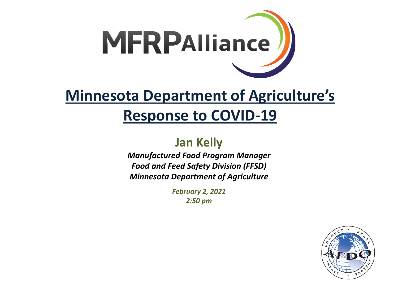

#### **Minnesota Department of Agriculture's Response to COVID-19**

**Jan Kelly**

*Manufactured Food Program Manager Food and Feed Safety Division (FFSD) Minnesota Department of Agriculture* 

> *February 2, 2021 2:50 pm*

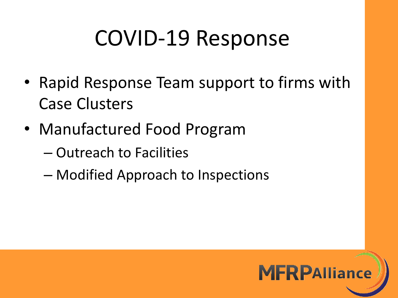# COVID-19 Response

- Rapid Response Team support to firms with Case Clusters
- Manufactured Food Program
	- Outreach to Facilities
	- Modified Approach to Inspections

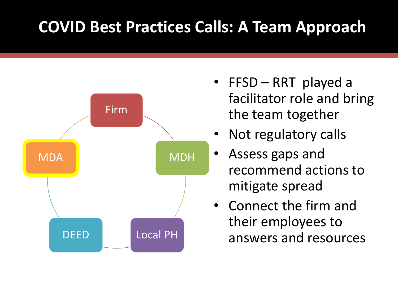### **COVID Best Practices Calls: A Team Approach**



- FFSD RRT played a facilitator role and bring the team together
- Not regulatory calls
- Assess gaps and recommend actions to mitigate spread
- Connect the firm and their employees to answers and resources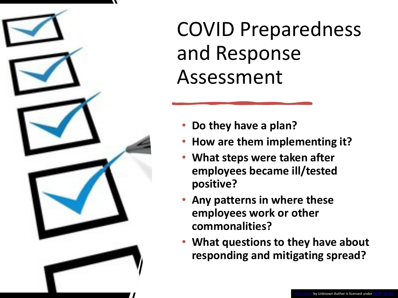

## COVID Preparedness and Response Assessment

- **Do they have a plan?**
- **How are them implementing it?**
- **What steps were taken after employees became ill/tested positive?**
- **Any patterns in where these employees work or other commonalities?**
- **What questions to they have about responding and mitigating spread?**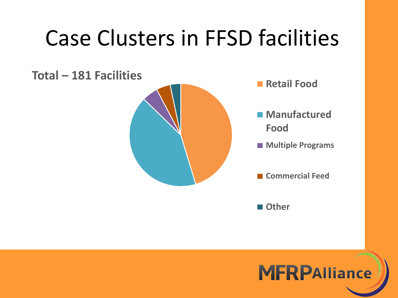# Case Clusters in FFSD facilities



**Other**

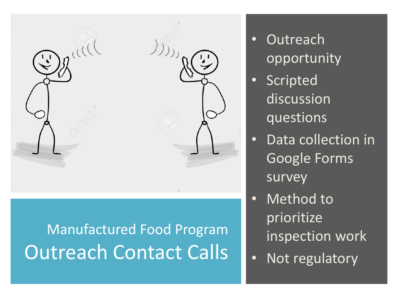

## Manufactured Food Program Outreach Contact Calls

- Outreach opportunity
- Scripted discussion questions
- Data collection in Google Forms survey
- Method to prioritize inspection work
- Not regulatory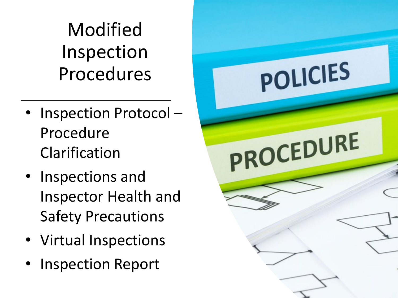Modified Inspection Procedures

- Inspection Protocol -Procedure Clarification
- Inspections and Inspector Health and Safety Precautions
- Virtual Inspections
- Inspection Report